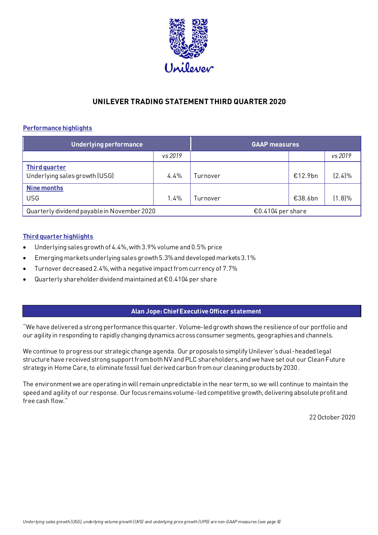

# **UNILEVER TRADING STATEMENT THIRD QUARTER 2020**

## **Performance highlights**

| Underlying performance                                |         | <b>GAAP measures</b> |         |           |
|-------------------------------------------------------|---------|----------------------|---------|-----------|
|                                                       | vs 2019 |                      |         | vs 2019   |
| <b>Third quarter</b><br>Underlying sales growth (USG) | 4.4%    | Turnover             | €12.9bn | $(2.4)\%$ |
| <b>Nine months</b><br><b>USG</b>                      | 1.4%    | Turnover             | €38.6bn | $(1.8)\%$ |
| Quarterly dividend payable in November 2020           |         | €0.4104 per share    |         |           |

## **Third quarter highlights**

- Underlying sales growth of 4.4%, with 3.9% volume and 0.5% price
- Emerging markets underlying sales growth 5.3% and developed markets 3.1%
- Turnover decreased 2.4%, with a negative impact from currency of 7.7%
- Quarterly shareholder dividend maintained at €0.4104 per share

## **Alan Jope: Chief Executive Officer statement**

"We have delivered a strong performance this quarter. Volume-led growth shows the resilience of our portfolio and our agility in responding to rapidly changing dynamics across consumer segments, geographies and channels.

We continue to progress our strategic change agenda. Our proposals to simplify Unilever's dual-headed legal structure have received strong support from both NV and PLC shareholders, and we have set out our Clean Future strategy in Home Care, to eliminate fossil fuel derived carbon from our cleaning products by 2030.

The environment we are operating in will remain unpredictable in the near term, so we will continue to maintain the speed and agility of our response. Our focus remains volume-led competitive growth, delivering absolute profit and free cash flow."

22 October 2020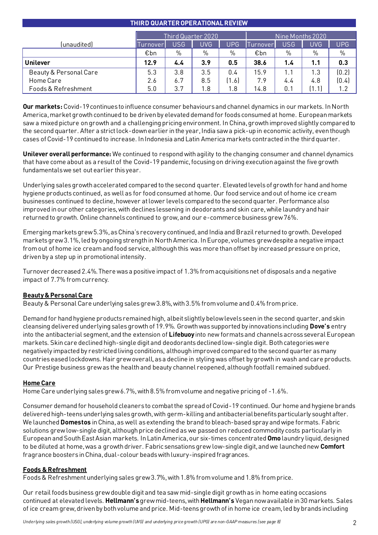## **THIRD QUARTEROPERATIONAL REVIEW**

|                        | Third Quarter 2020. |            |      | Nine Months 2020 |          |            |            |       |
|------------------------|---------------------|------------|------|------------------|----------|------------|------------|-------|
| (unaudited)            | <b>Turnover</b>     | <b>USG</b> | UVG  | UPG.             | Turnover | <b>USG</b> | <b>UVG</b> | UPG.  |
|                        | €bn                 | $\%$       | $\%$ | %                | €bn      | %          | $\%$       | $\%$  |
| Unilever               | 12.9                | 4.4        | 3.9  | 0.5              | 38.6     | 1.4        | 1.1        | 0.3   |
| Beauty & Personal Care | 5.3                 | 3.8        | 3.5  | 0.4              | 15.9     | 1.1        | 1.3        | (0.2) |
| Home Care              | 2.6                 | 6.7        | 8.5  | [1.6]            | 7.9      | 4.4        | 4.8        | (0.4) |
| Foods & Refreshment    | 5.0                 | 3.7        | ∣.8  | $8 \cdot$        | 14.8     | 0.1        |            | 1.2   |

**Our markets:** Covid-19 continues to influence consumer behaviours and channel dynamics in our markets. In North America, market growth continued to be driven by elevated demand for foods consumed at home. European markets saw a mixed picture on growth and a challenging pricing environment. In China, growth improved slightly compared to the second quarter. After a strict lock-down earlier in the year, India saw a pick-up in economic activity, even though cases of Covid-19 continued to increase. In Indonesia and Latin America markets contracted in the third quarter.

**Unilever overall performance:** We continued to respond with agility to the changing consumer and channel dynamics that have come about as a result of the Covid-19 pandemic, focusing on driving execution against the five growth fundamentals we set out earlier this year.

Underlying sales growth accelerated compared to the second quarter. Elevated levels of growth for hand and home hygiene products continued, as well as for food consumed at home. Our food service and out of home ice cream businesses continued to decline, however at lower levels compared to the second quarter. Performance also improved in our other categories, with declines lessening in deodorants and skin care, while laundry and hair returned to growth. Online channels continued to grow, and our e-commerce business grew 76%.

Emerging markets grew 5.3%, as China's recovery continued, and India and Brazil returned to growth. Developed markets grew 3.1%, led by ongoing strength in North America. In Europe, volumes grew despite a negative impact from out of home ice cream and food service, although this was more than offset by increased pressure on price, driven by a step up in promotional intensity.

Turnover decreased 2.4%. There was a positive impact of 1.3% from acquisitions net of disposals and a negative impact of 7.7% from currency.

## **Beauty & Personal Care**

Beauty & Personal Care underlying sales grew 3.8%, with 3.5% from volume and 0.4% from price.

Demand for hand hygiene products remained high, albeit slightly below levels seen in the second quarter, and skin cleansing delivered underlying sales growth of 19.9%. Growth was supported by innovations including **Dove's** entry into the antibacterial segment, and the extension of **Lifebuoy** into new formats and channels across several European markets. Skin care declined high-single digit and deodorants declined low-single digit. Both categories were negatively impacted by restricted living conditions, althoughimproved compared to the second quarter as many countries eased lockdowns. Hair grew overall, as a decline in styling was offset by growth in wash and care products. Our Prestige business grew as the health and beauty channel reopened, although footfall remained subdued.

## **Home Care**

Home Care underlying sales grew 6.7%, with 8.5% from volume and negative pricing of -1.6%.

Consumer demand for household cleaners to combat the spread of Covid-19 continued. Our home and hygiene brands delivered high-teens underlying sales growth, with germ-killing and antibacterial benefits particularly sought after. We launched **Domestos** in China, as well as extending the brand to bleach-based spray and wipe formats. Fabric solutions grew low-single digit, although price declined as we passed on reduced commodity costs particularly in European and South East Asian markets. In Latin America, our six-times concentrated **Omo** laundry liquid, designed to be diluted at home, was a growth driver. Fabric sensations grew low-single digit, and we launched new **Comfort** fragrance boosters in China, dual-colour beads with luxury-inspired fragrances.

## **Foods & Refreshment**

Foods & Refreshment underlying sales grew 3.7%, with 1.8% from volume and 1.8% from price.

Our retail foods business grew double digit and tea saw mid-single digit growth as in home eating occasions continued at elevated levels. **Hellmann's**grew mid-teens, with **Hellmann's** Vegan now available in 30 markets. Sales of ice cream grew, driven by both volume and price. Mid-teens growth of in home ice cream, led by brands including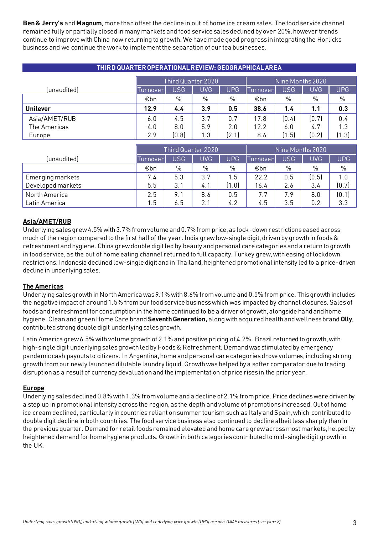**Ben & Jerry's** and **Magnum**, more than offset the decline in out of home ice cream sales. The food service channel remained fully or partially closed in many markets and food service sales declined by over 20%, however trends continue to improve with China now returning to growth. We have made good progress in integrating the Horlicks business and we continue the work to implement the separation of our tea businesses.

| THIRD QUARTER OPERATIONAL REVIEW: GEOGRAPHICAL AREA |                    |            |            |            |                  |            |            |            |
|-----------------------------------------------------|--------------------|------------|------------|------------|------------------|------------|------------|------------|
|                                                     | Third Quarter 2020 |            |            |            | Nine Months 2020 |            |            |            |
| (unaudited)                                         | <u>Iurnover</u>    | <b>USG</b> | <b>UVG</b> | <b>UPG</b> | Turnover         | <b>USG</b> | <b>UVG</b> | <b>UPG</b> |
|                                                     | €bn                | %          | %          | $\%$       | €bn              | $\%$       | $\%$       | $\%$       |
| <b>Unilever</b>                                     | 12.9               | 4.4        | 3.9        | 0.5        | 38.6             | 1.4        | 1.1        | 0.3        |
| Asia/AMET/RUB                                       | 6.0                | 4.5        | 3.7        | 0.7        | 17.8             | (0.4)      | [0.7]      | 0.4        |
| The Americas                                        | 4.0                | 8.0        | 5.9        | 2.0        | 12.2             | 6.0        | 4.7        | 1.3        |
| Europe                                              | 2.9                | (0.8)      | 1.3        | (2.1)      | 8.6              | .5)        | (0.2)      | (1.3)      |

|                   | Third Quarter 2020 |            |     |       | Nine Months 2020 |     |            |               |
|-------------------|--------------------|------------|-----|-------|------------------|-----|------------|---------------|
| (unaudited)       | urnover            | <b>USG</b> | UVG | UPG.  | lurnoverl        | USG | <b>UVG</b> | UPG.          |
|                   | €bn                | %          | %   | %     | €bn              | %   | $\%$       | $\frac{0}{0}$ |
| Emerging markets  | 7.4                | 5.3        | 3.7 | .5    | 22.2             | 0.5 | (0.5)      | 1.0           |
| Developed markets | 5.5                | 3.1        | 4.  | (1.0) | 16.4             | 2.6 | 3.4        | (0.7)         |
| North America     | 2.5                | 9.1        | 8.6 | 0.5   | 7.7              | 7.9 | 8.0        | (0.1)         |
| Latin America     | 1.5                | 6.5        | 2.1 | 4.2   | 4.5              | 3.5 | 0.2        | 3.3           |

## **Asia/AMET/RUB**

Underlying sales grew 4.5% with 3.7% from volume and 0.7% from price, as lock-down restrictions eased across much of the region compared to the first half of the year. India grew low-single digit, driven by growth in foods & refreshment and hygiene. China grew double digit led by beauty and personal care categories and a return to growth in food service, as the out of home eating channel returned to full capacity. Turkey grew, with easing of lockdown restrictions. Indonesia declined low-single digit and in Thailand, heightened promotional intensity led to a price-driven decline in underlying sales.

## **The Americas**

Underlying sales growth in North America was 9.1% with 8.6% from volume and 0.5% from price. This growth includes the negative impact of around 1.5% from our food service business which was impacted by channel closures. Sales of foods and refreshment for consumption in the home continued to be a driver of growth, alongside hand and home hygiene. Cleanand green Home Care brand **Seventh Generation,** along with acquired health and wellness brand **Olly**, contributed strong double digit underlying sales growth.

Latin America grew 6.5% with volume growth of 2.1% and positive pricing of 4.2%. Brazil returned to growth, with high-single digit underlying sales growth led by Foods & Refreshment. Demand was stimulated by emergency pandemic cash payouts to citizens. In Argentina, home and personal care categories drove volumes, including strong growth from our newly launched dilutable laundry liquid. Growth was helped by a softer comparator due to trading disruption as a result of currency devaluation and the implementation of price rises in the prior year.

## **Europe**

Underlying sales declined 0.8% with 1.3% from volume and a decline of 2.1% from price. Price declines were driven by a step up in promotional intensity across the region, as the depth and volume of promotions increased. Out of home ice cream declined, particularly in countries reliant on summer tourism such as Italy and Spain, which contributed to double digit decline in both countries. The food service business also continued to decline albeit less sharply than in the previous quarter. Demand for retail foods remained elevated and home care grew across most markets, helped by heightened demand for home hygiene products. Growth in both categories contributed to mid-single digit growth in the UK.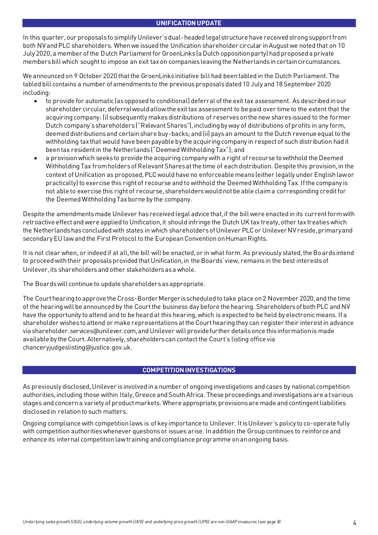#### **UNIFICATION UPDATE**

In this quarter, our proposals to simplify Unilever's dual-headed legal structure have received strong support from both NV and PLC shareholders. When we issued the Unification shareholder circular in August we noted that on 10 July 2020, a member of the Dutch Parliament for GroenLinks (a Dutch opposition party) had proposed a private members bill which sought to impose an exit tax on companies leaving the Netherlands in certain circumstances.

We announced on 9 October 2020 that the GroenLinks initiative bill had been tabled in the Dutch Parliament. The tabled bill contains a number of amendments to the previous proposals dated 10 July and 18 September 2020 including:

- to provide for automatic (as opposed to conditional) deferral of the exit tax assessment. As described in our shareholder circular, deferral would allow the exit tax assessment to be paid over time to the extent that the acquiring company: (i) subsequently makes distributions of reserves on the new shares issued to the former Dutch company's shareholders ("Relevant Shares"), including by way of distributions of profits in any form, deemed distributions and certain share buy-backs; and (ii) pays an amount to the Dutch revenue equal to the withholding tax that would have been payable by the acquiring company in respect of such distribution had it been tax resident in the Netherlands ("Deemed Withholding Tax"); and
- a provision which seeks to provide the acquiring company with a right of recourse to withhold the Deemed Withholding Tax from holders of Relevant Shares at the time of each distribution. Despite this provision, in the context of Unification as proposed, PLC would have no enforceable means (either legally under English law or practically) to exercise this right of recourse and to withhold the Deemed Withholding Tax. If the company is not able to exercise this right of recourse, shareholders would not be able claim a corresponding credit for the Deemed Withholding Tax borne by the company.

Despite the amendments made Unilever hasreceived legal advice that, if the bill were enacted in its current form with retroactive effect and were applied to Unification, it should infringe the Dutch UK tax treaty, other tax treaties which the Netherlands has concluded with states in which shareholders of Unilever PLC or Unilever NV reside, primary and secondary EU law and the First Protocol to the European Convention on Human Rights.

It is not clear when, or indeed if at all, the bill will be enacted, or in what form. As previously stated, the Boards intend to proceed with their proposals provided that Unification, in the Boards' view, remains in the best interests of Unilever, its shareholders and other stakeholders as a whole.

The Boards will continue to update shareholders as appropriate.

The Court hearing to approve the Cross-Border Merger is scheduled to take place on 2 November 2020, and the time of the hearing will be announced by the Court the business day before the hearing. Shareholders of both PLC and NV have the opportunity to attend and to be heard at this hearing, which is expected to be held by electronic means. If a shareholder wishes to attend or make representations at the Court hearing they can register their interest in advance via shareholder.services@unilever.com, and Unilever will provide further details once this information is made available by the Court. Alternatively, shareholders can contact the Court's listing office via [chanceryjudgeslisting@justice.gov.uk](mailto:chanceryjudgeslisting@justice.gov.uk).

### **COMPETITION INVESTIGATIONS**

As previously disclosed, Unilever is involved in a number of ongoing investigations and cases by national competition authorities, including those within Italy, Greece and South Africa. These proceedings and investigations are at various stages and concern a variety of product markets. Where appropriate, provisions are made and contingent liabilities disclosed in relation to such matters.

Ongoing compliance with competition laws is of key importance to Unilever. It is Unilever's policy to co-operate fully with competition authorities whenever questions or issues arise. In addition the Group continues to reinforce and enhance its internal competition law training and compliance programme on an ongoing basis.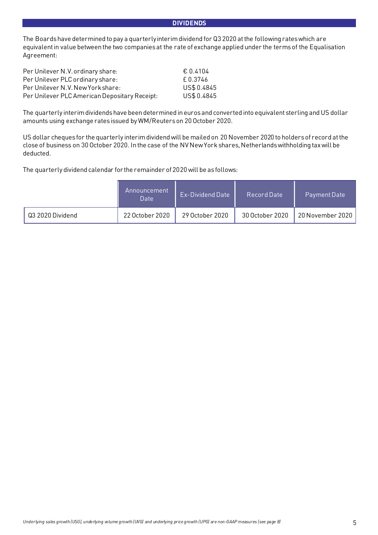#### **DIVIDENDS**

The Boards have determined to pay a quarterly interim dividend for Q3 2020 at the following rates which are equivalent in value between the two companies at the rate of exchange applied under the terms of the Equalisation Agreement:

| Per Unilever N.V. ordinary share:             | € 0.4104    |
|-----------------------------------------------|-------------|
| Per Unilever PLC ordinary share:              | f 0.3746    |
| Per Unilever N.V. New York share:             | US\$ 0.4845 |
| Per Unilever PLC American Depositary Receipt: | US\$ 0.4845 |

The quarterly interim dividends have been determined in euros and converted into equivalent sterling and US dollar amounts using exchange rates issued by WM/Reuters on 20 October 2020.

US dollar cheques for the quarterly interim dividend will be mailed on 20 November 2020 to holders of record at the close of business on 30 October 2020. In the case of the NV New York shares, Netherlands withholding tax will be deducted.

The quarterly dividend calendar for the remainder of 2020 will be as follows:

|                  | Announcement<br>Date | <b>Ex-Dividend Date</b> | Record Date     | Payment Date     |
|------------------|----------------------|-------------------------|-----------------|------------------|
| Q3 2020 Dividend | 22 October 2020      | 29 October 2020         | 30 October 2020 | 20 November 2020 |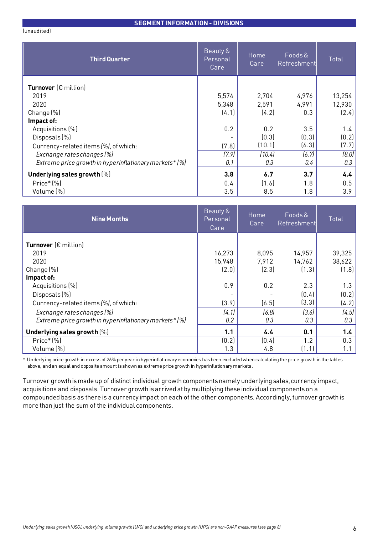#### **SEGMENT INFORMATION - DIVISIONS**

(unaudited)

| <b>Third Quarter</b>                                    | Beauty &<br>Personal<br>Care | Home<br>Care | Foods&<br>Refreshment | Total  |
|---------------------------------------------------------|------------------------------|--------------|-----------------------|--------|
| Turnover $(\epsilon$ million)                           |                              |              |                       |        |
| 2019                                                    | 5,574                        | 2,704        | 4,976                 | 13,254 |
| 2020                                                    | 5,348                        | 2,591        | 4,991                 | 12,930 |
| Change (%)                                              | (4.1)                        | (4.2)        | 0.3                   | (2.4)  |
| Impact of:                                              |                              |              |                       |        |
| Acquisitions (%)                                        | 0.2                          | 0.2          | 3.5                   | 1.4    |
| Disposals (%)                                           |                              | (0.3)        | (0.3)                 | (0.2)  |
| Currency-related items (%), of which:                   | (7.8)                        | (10.1)       | (6.3)                 | (7.7)  |
| Exchange rates changes (%)                              | (7.9)                        | (10.4)       | (6.7)                 | (8.0)  |
| Extreme price growth in hyperinflationary markets * (%) | 0.1                          | 0.3          | $0.4\,$               | 0.3    |
| Underlying sales growth $(\%)$                          | 3.8                          | 6.7          | 3.7                   | 4.4    |
| Price*(%)                                               | 0.4                          | (1.6)        | 1.8                   | 0.5    |
| Volume (%)                                              | 3.5                          | 8.5          | 1.8                   | 3.9    |

| <b>Nine Months</b>                                      | Beauty &<br>Personal<br>Care, | Home<br>Care | Foods&<br>Refreshment | <b>Total</b> |
|---------------------------------------------------------|-------------------------------|--------------|-----------------------|--------------|
| <b>Turnover</b> ( $\epsilon$ million)                   |                               |              |                       |              |
| 2019                                                    | 16,273                        | 8,095        | 14,957                | 39,325       |
| 2020                                                    | 15,948                        | 7,912        | 14,762                | 38,622       |
| Change (%)                                              | (2.0)                         | (2.3)        | (1.3)                 | (1.8)        |
| Impact of:                                              |                               |              |                       |              |
| Acquisitions (%)                                        | 0.9                           | 0.2          | 2.3                   | 1.3          |
| Disposals (%)                                           |                               |              | (0.4)                 | (0.2)        |
| Currency-related items (%), of which:                   | (3.9)                         | (6.5)        | (3.3)                 | (4.2)        |
| Exchange rates changes (%)                              | (4.1)                         | (6.8)        | (3.6)                 | (4.5)        |
| Extreme price growth in hyperinflationary markets * (%) | 0.2                           | 0.3          | 0.3                   | 0.3          |
| Underlying sales growth [%]                             | 1.1                           | 4.4          | 0.1                   | 1.4          |
| Price*(%)                                               | (0.2)                         | (0.4)        | 1.2                   | 0.3          |
| Volume (%)                                              | 1.3                           | 4.8          | (1.1)                 | 1.1          |

\* Underlying price growth in excess of 26% per year in hyperinflationary economies has been excluded when calculating the price growth in the tables above, and an equal and opposite amount is shown as extreme price growth in hyperinflationary markets.

Turnover growth is made up of distinct individual growth components namely underlying sales, currency impact, acquisitions and disposals. Turnover growth is arrived at by multiplying these individual components on a compounded basis as there is a currency impact on each of the other components. Accordingly, turnover growth is more than just the sum of the individual components.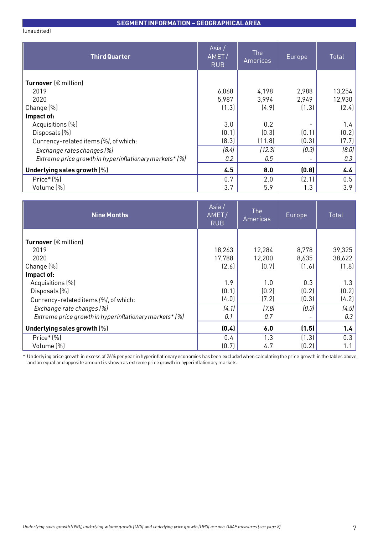#### **SEGMENT INFORMATION –GEOGRAPHICAL AREA**

(unaudited)

| <b>Third Quarter</b>                                    | Asia/<br>AMET/<br><b>RUB</b> | <b>The</b><br>Americas | Europe | <b>Total</b> |
|---------------------------------------------------------|------------------------------|------------------------|--------|--------------|
| Turnover $(\epsilon$ million)                           |                              |                        |        |              |
| 2019                                                    | 6,068                        | 4,198                  | 2,988  | 13,254       |
| 2020                                                    | 5,987                        | 3,994                  | 2,949  | 12,930       |
| Change (%)                                              | (1.3)                        | (4.9)                  | (1.3)  | (2.4)        |
| Impact of:                                              |                              |                        |        |              |
| Acquisitions (%)                                        | 3.0                          | 0.2                    |        | 1.4          |
| Disposals (%)                                           | (0.1)                        | (0.3)                  | (0.1)  | (0.2)        |
| Currency-related items (%), of which:                   | (8.3)                        | (11.8)                 | (0.3)  | (7.7)        |
| Exchange rates changes (%)                              | (8.4)                        | (12.3)                 | (0.3)  | (8.0)        |
| Extreme price growth in hyperinflationary markets * (%) | 0.2                          | 0.5                    |        | 0.3          |
| Underlying sales growth [%]                             | 4.5                          | 8.0                    | (0.8)  | 4.4          |
| Price*(%)                                               | 0.7                          | 2.0                    | (2.1)  | 0.5          |
| Volume (%)                                              | 3.7                          | 5.9                    | 1.3    | 3.9          |

| <b>Nine Months</b>                                     | Asia /<br>AMET/<br><b>RUB</b> | <b>The</b><br>Americas | Europe | Total  |
|--------------------------------------------------------|-------------------------------|------------------------|--------|--------|
|                                                        |                               |                        |        |        |
| Turnover $(\epsilon$ million)                          |                               |                        |        |        |
| 2019                                                   | 18,263                        | 12,284                 | 8,778  | 39,325 |
| 2020                                                   | 17,788                        | 12,200                 | 8,635  | 38,622 |
| Change (%)                                             | (2.6)                         | (0.7)                  | (1.6)  | (1.8)  |
| Impact of:                                             |                               |                        |        |        |
| Acquisitions (%)                                       | 1.9                           | 1.0                    | 0.3    | 1.3    |
| Disposals (%)                                          | (0.1)                         | (0.2)                  | (0.2)  | (0.2)  |
| Currency-related items (%), of which:                  | (4.0)                         | (7.2)                  | (0.3)  | (4.2)  |
| Exchange rate changes (%)                              | (4.1)                         | (7.8)                  | (0.3)  | (4.5)  |
| Extreme price growth in hyperinflationary markets* (%) | 0.1                           | 0.7                    |        | 0.3    |
| Underlying sales growth [%]                            | (0.4)                         | 6.0                    | (1.5)  | 1.4    |
| Price*(%)                                              | 0.4                           | 1.3                    | (1.3)  | 0.3    |
| Volume (%)                                             | (0.7)                         | 4.7                    | (0.2)  | 1.1    |

\* Underlying price growth in excess of 26% per year in hyperinflationary economies has been excluded when calculating the price growth in the tables above, and an equal and opposite amount is shown as extreme price growth in hyperinflationary markets.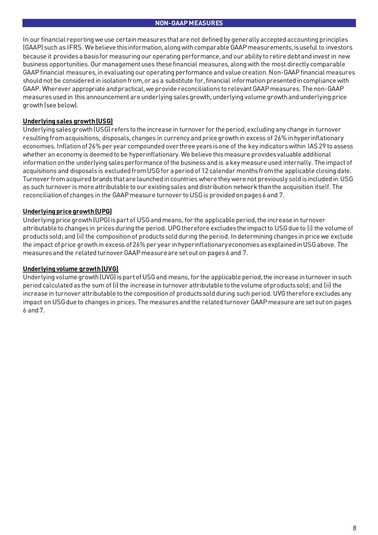In our financial reporting we use certain measures that are not defined by generally accepted accounting principles (GAAP) such as IFRS. We believe this information, along with comparable GAAP measurements, is useful to investors because it providesa basisfor measuring our operating performance, and our ability to retire debt and invest in new business opportunities. Our management uses these financial measures,along with the most directly comparable GAAP financial measures, in evaluating our operating performance and value creation. Non-GAAP financial measures should not be considered in isolation from, or as a substitute for, financial information presented in compliance with GAAP. Wherever appropriate and practical, we provide reconciliations to relevant GAAP measures. The non-GAAP measures used in this announcement are underlying sales growth, underlying volume growth and underlying price growth(see below).

## **Underlying sales growth (USG)**

Underlying salesgrowth(USG) refers to the increase in turnover for the period,excluding any change in turnover resulting fromacquisitions, disposals, changes in currency and price growthin excess of 26% inhyperinflationary economies. Inflation of 26% per year compounded over three years is one of the key indicators within IAS 29 to assess whether an economy is deemed to be hyperinflationary.We believe thismeasure provides valuable additional information on the underlying sales performance of the business and is a key measure used internally. The impact of acquisitions and disposals is excluded from USG for a period of 12 calendar months from the applicable closing date. Turnover fromacquired brands that are launched incountries where they were not previously sold isincluded in USG as such turnover is more attributable to our existing sales and distribution network thanthe acquisition itself. The reconciliation of changes in the GAAP measure turnover to USG is provided on pages 6 and 7.

## **Underlying price growth (UPG)**

Underlying price growth (UPG) is part of USG and means, for the applicable period, the increase in turnover attributable to changes in prices during the period. UPG therefore excludes the impact to USG due to (i) the volume of products sold; and (ii) the composition of products sold during the period. Indetermining changes in price we exclude the impact of price growth in excess of 26% per year in hyperinflationary economies as explained in USG above. The measuresand the related turnover GAAP measureare setout on pages6 and 7.

### **Underlying volume growth (UVG)**

Underlying volume growth (UVG) is part of USG and means, for the applicable period, the increase in turnover in such period calculated as the sum of (i) the increase in turnover attributable to the volume of products sold; and (ii) the increase in turnover attributable to the composition of products sold during such period. UVG therefore excludes any impact on USGdue to changes in prices. The measuresand the related turnover GAAP measure are setout on pages 6 and 7.